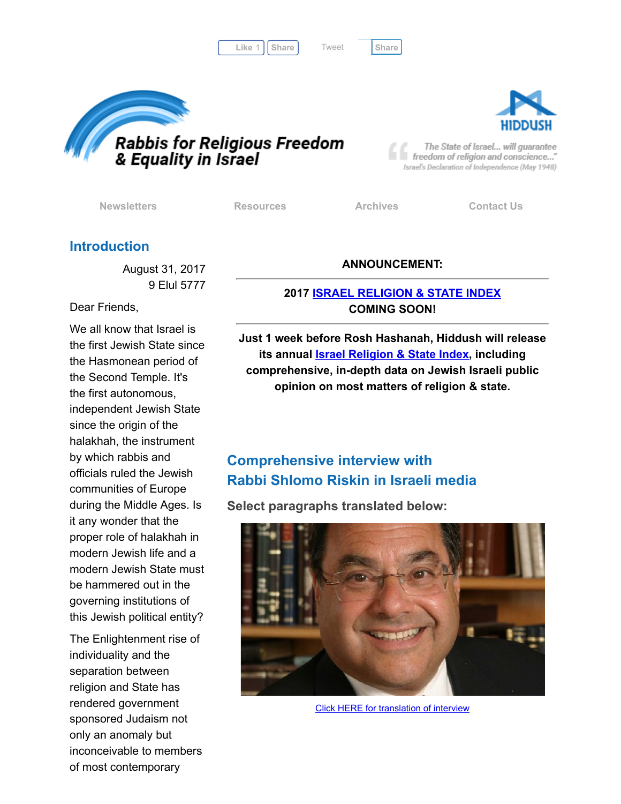Like 1 | [Share](javascript:void(0);) | Tweet | Share

[Tweet](https://twitter.com/intent/tweet?original_referer=http%3A%2F%2Fhosted.verticalresponse.com%2F577764%2F1b98581ff2%2F1468735450%2F325ceb4427%2F&ref_src=twsrc%5Etfw&text=Newsletter%3A%20debating%20gov%27t%20sponsored%20Orthodoxy&tw_p=tweetbutton&url=http%3A%2F%2Fhosted-p0.vresp.com%2F577764%2F1b98581ff2%2FARCHIVE%23.Wa011OoxK_Y.twitter)





The State of Israel... will guarantee freedom of religion and conscience..." Israel's Declaration of Independence (May 1948)

[Newsletters](http://cts.vresp.com/c/?FreedomofReligionfor/1b98581ff2/325ceb4427/0902722b0b) **[Resources](http://cts.vresp.com/c/?FreedomofReligionfor/1b98581ff2/325ceb4427/5a20dfa29f)** [Archives](http://cts.vresp.com/c/?FreedomofReligionfor/1b98581ff2/325ceb4427/b57d027110) [Contact](http://cts.vresp.com/c/?FreedomofReligionfor/1b98581ff2/325ceb4427/7f52f3d980) Us

### Introduction

August 31, 2017 9 Elul 5777

Dear Friends,

We all know that Israel is the first Jewish State since the Hasmonean period of the Second Temple. It's the first autonomous, independent Jewish State since the origin of the halakhah, the instrument by which rabbis and officials ruled the Jewish communities of Europe during the Middle Ages. Is it any wonder that the proper role of halakhah in modern Jewish life and a modern Jewish State must be hammered out in the governing institutions of this Jewish political entity?

The Enlightenment rise of individuality and the separation between religion and State has rendered government sponsored Judaism not only an anomaly but inconceivable to members of most contemporary

#### ANNOUNCEMENT:

#### 2017 ISRAEL [RELIGION](http://cts.vresp.com/c/?FreedomofReligionfor/1b98581ff2/325ceb4427/4ed35a6929) & STATE INDEX COMING SOON!

Just 1 week before Rosh Hashanah, Hiddush will release its annual **Israel [Religion](http://cts.vresp.com/c/?FreedomofReligionfor/1b98581ff2/325ceb4427/05980bf8a8) & State Index**, including comprehensive, in-depth data on Jewish Israeli public opinion on most matters of religion & state.

## Comprehensive interview with Rabbi Shlomo Riskin in Israeli media

Select paragraphs translated below:



Click HERE for [translation](http://cts.vresp.com/c/?FreedomofReligionfor/1b98581ff2/325ceb4427/4ac61ef08f) of interview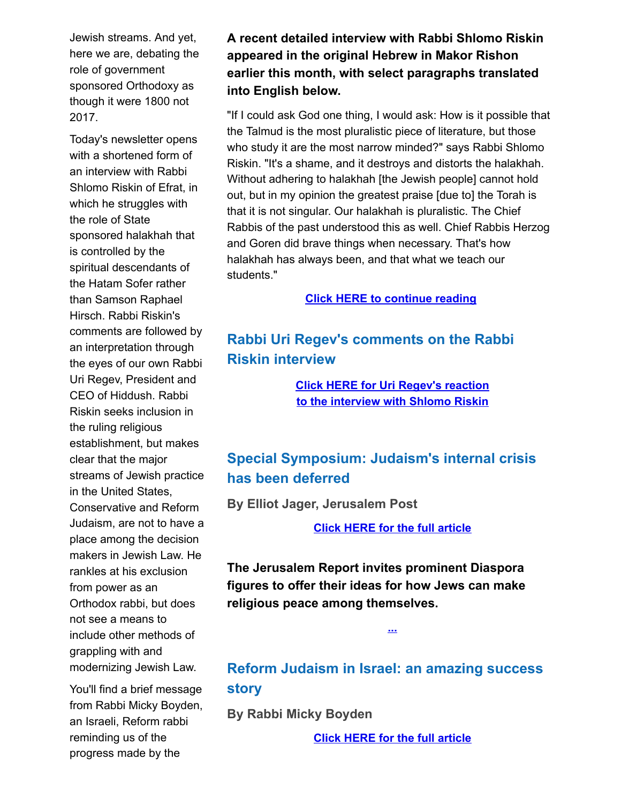Jewish streams. And yet, here we are, debating the role of government sponsored Orthodoxy as though it were 1800 not 2017.

Today's newsletter opens with a shortened form of an interview with Rabbi Shlomo Riskin of Efrat, in which he struggles with the role of State sponsored halakhah that is controlled by the spiritual descendants of the Hatam Sofer rather than Samson Raphael Hirsch. Rabbi Riskin's comments are followed by an interpretation through the eyes of our own Rabbi Uri Regev, President and CEO of Hiddush. Rabbi Riskin seeks inclusion in the ruling religious establishment, but makes clear that the major streams of Jewish practice in the United States, Conservative and Reform Judaism, are not to have a place among the decision makers in Jewish Law. He rankles at his exclusion from power as an Orthodox rabbi, but does not see a means to include other methods of grappling with and modernizing Jewish Law.

You'll find a brief message from Rabbi Micky Boyden, an Israeli, Reform rabbi reminding us of the progress made by the

A recent detailed interview with Rabbi Shlomo Riskin appeared in the original Hebrew in Makor Rishon earlier this month, with select paragraphs translated into English below.

"If I could ask God one thing, I would ask: How is it possible that the Talmud is the most pluralistic piece of literature, but those who study it are the most narrow minded?" says Rabbi Shlomo Riskin. "It's a shame, and it destroys and distorts the halakhah. Without adhering to halakhah [the Jewish people] cannot hold out, but in my opinion the greatest praise [due to] the Torah is that it is not singular. Our halakhah is pluralistic. The Chief Rabbis of the past understood this as well. Chief Rabbis Herzog and Goren did brave things when necessary. That's how halakhah has always been, and that what we teach our students."

Click HERE to [continue](http://cts.vresp.com/c/?FreedomofReligionfor/1b98581ff2/325ceb4427/ef656ccc80) reading

# Rabbi Uri Regev's comments on the Rabbi Riskin interview

Click HERE for Uri Regev's reaction to the [interview](http://cts.vresp.com/c/?FreedomofReligionfor/1b98581ff2/325ceb4427/e6b932d70a) with Shlomo Riskin

# Special Symposium: Judaism's internal crisis has been deferred

By Elliot Jager, Jerusalem Post

Click HERE for the full [article](http://cts.vresp.com/c/?FreedomofReligionfor/1b98581ff2/325ceb4427/1d6dc0b8ea)

The Jerusalem Report invites prominent Diaspora figures to offer their ideas for how Jews can make religious peace among themselves.

### Reform Judaism in Israel: an amazing success story

[...](http://cts.vresp.com/c/?FreedomofReligionfor/1b98581ff2/325ceb4427/320724cb33)

By Rabbi Micky Boyden

Click HERE for the full [article](http://cts.vresp.com/c/?FreedomofReligionfor/1b98581ff2/325ceb4427/b1bbb68fa8)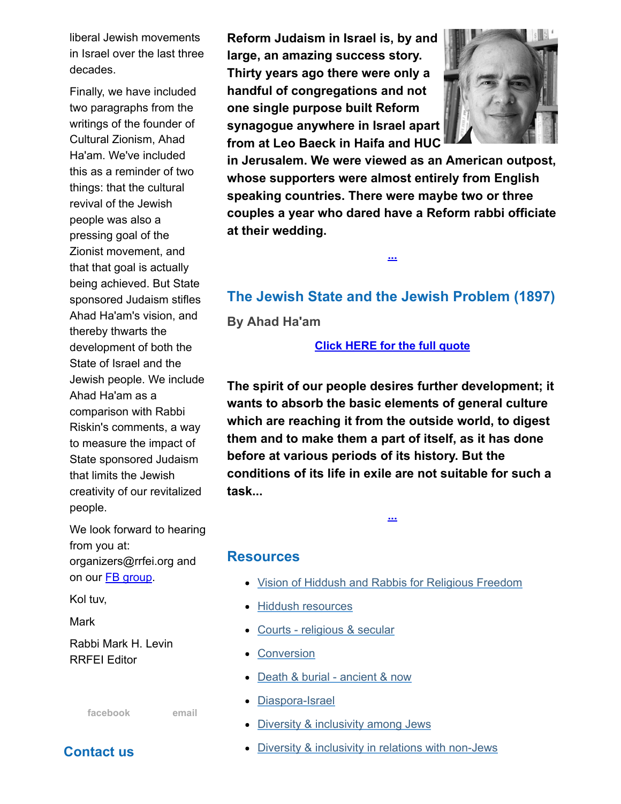liberal Jewish movements in Israel over the last three decades.

Finally, we have included two paragraphs from the writings of the founder of Cultural Zionism, Ahad Ha'am. We've included this as a reminder of two things: that the cultural revival of the Jewish people was also a pressing goal of the Zionist movement, and that that goal is actually being achieved. But State sponsored Judaism stifles Ahad Ha'am's vision, and thereby thwarts the development of both the State of Israel and the Jewish people. We include Ahad Ha'am as a comparison with Rabbi Riskin's comments, a way to measure the impact of State sponsored Judaism that limits the Jewish creativity of our revitalized people.

We look forward to hearing from you at: organizers@rrfei.org and on our **FB** [group](http://cts.vresp.com/c/?FreedomofReligionfor/1b98581ff2/325ceb4427/cf005b83c7).

Kol tuv,

Mark

Rabbi Mark H. Levin RRFEI Editor

[facebook](http://cts.vresp.com/c/?FreedomofReligionfor/1b98581ff2/325ceb4427/e384f7b148) [email](mailto:organizers@rrfei.org)

Contact us

Reform Judaism in Israel is, by and large, an amazing success story. Thirty years ago there were only a handful of congregations and not one single purpose built Reform synagogue anywhere in Israel apart from at Leo Baeck in Haifa and HUC



in Jerusalem. We were viewed as an American outpost, whose supporters were almost entirely from English speaking countries. There were maybe two or three couples a year who dared have a Reform rabbi officiate at their wedding.

### The Jewish State and the Jewish Problem (1897)

[...](http://cts.vresp.com/c/?FreedomofReligionfor/1b98581ff2/325ceb4427/160e0c7d51)

By Ahad Ha'am

Click [HERE](http://cts.vresp.com/c/?FreedomofReligionfor/1b98581ff2/325ceb4427/b036b9b02b) for the full quote

The spirit of our people desires further development; it wants to absorb the basic elements of general culture which are reaching it from the outside world, to digest them and to make them a part of itself, as it has done before at various periods of its history. But the conditions of its life in exile are not suitable for such a task...

[...](http://cts.vresp.com/c/?FreedomofReligionfor/1b98581ff2/325ceb4427/48ac5c4d8d)

#### Resources

- Vision of Hiddush and Rabbis for [Religious](http://cts.vresp.com/c/?FreedomofReligionfor/1b98581ff2/325ceb4427/07de0d7e74) Freedom
- Hiddush [resources](http://cts.vresp.com/c/?FreedomofReligionfor/1b98581ff2/325ceb4427/7b954bb783)
- Courts [religious](http://cts.vresp.com/c/?FreedomofReligionfor/1b98581ff2/325ceb4427/99cfcacdc8) & secular
- [Conversion](http://cts.vresp.com/c/?FreedomofReligionfor/1b98581ff2/325ceb4427/4f3ccfcbf1)
- Death & burial [ancient](http://cts.vresp.com/c/?FreedomofReligionfor/1b98581ff2/325ceb4427/1027f8b95b) & now
- [Diaspora-Israel](http://cts.vresp.com/c/?FreedomofReligionfor/1b98581ff2/325ceb4427/d704442419)
- Diversity & [inclusivity](http://cts.vresp.com/c/?FreedomofReligionfor/1b98581ff2/325ceb4427/654c1b3bee) among Jews
- Diversity & inclusivity in relations with [non-Jews](http://cts.vresp.com/c/?FreedomofReligionfor/1b98581ff2/325ceb4427/f482ef802f)